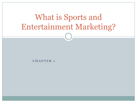# What is Sports and Entertainment Marketing?

**C H A P T E R 1**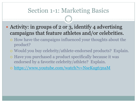- Activity: in groups of 2 or 3, identify 4 advertising campaigns that feature athletes and/or celebrities.
	- How have the campaigns influenced your thoughts about the product?
	- Would you buy celebrity/athlete-endorsed products? Explain.
	- Have you purchased a product specifically because it was endorsed by a favorite celebrity/athlete? Explain.
	- o <https://www.youtube.com/watch?v=NseKug63naM>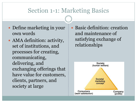- Define marketing in your own words
- AMA definition: activity, set of institutions, and processes for creating, communicating, delivering, and exchanging offerings that have value for customers, clients, partners, and society at large

 Basic definition: creation and maintenance of satisfying exchange of relationships

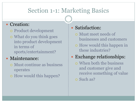#### • Creation:

- Product development
- What do you think goes into product development in terms of sports/entertainment?

### • Maintenance:

- Must continue as business operates
- How would this happen?

### • Satisfaction:

- Must meet needs of businesses and customers
- How would this happen in these industries?

### Exchange relationships:

 When both the business and customer give and receive something of value

Such as?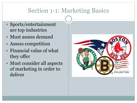- Sports/entertainment are top industries
- Must assess demand
- Assess competition
- Financial value of what they offer
- Must consider all aspects of marketing in order to deliver

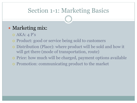### • Marketing mix:

- $O$  AKA: 4 P's
- Product: good or service being sold to customers
- Distribution (Place): where product will be sold and how it will get there (mode of transportation, route)
- Price: how much will be charged, payment options available
- Promotion: communicating product to the market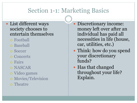#### List different ways society chooses to entertain themselves

- Football
- Baseball
- Soccer
- Concerts
- Fairs
- NASCAR
- Video games
- Movies/Television
- Theatre

 Discretionary income: money left over after an individual has paid all necessities in life (house, car, utilities, etc.)

- Think: how do you spend your discretionary funds?
- Has that changed throughout your life? Explain.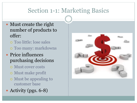- Must create the right number of products to offer:
	- Too little: lose sales Too many: markdowns
- Price influences purchasing decisions
	- Must cover costs
	- Must make profit
	- Must be appealing to customer base
- Activity (pgs. 6-8)

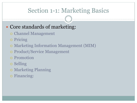### • Core standards of marketing:

- o Channel Management
- o Pricing
- Marketing Information Management (MIM)
- Product/Service Management
- o Promotion
- Selling
- o Marketing Planning
- Financing: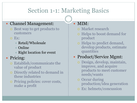#### • Channel Management:

- Best way to get products to customers
- Ex:
	- Retail/Wholesale
	- $\times$  Online
	- $\times$  Right location for event

### • Pricing:

- Establish/communicate the value of product
- o Directly related to demand in these industries
- Pricing policies: cover costs, make a profit

#### MIM:

- Market research
- o Helps to boost demand for product
- o Helps to predict demand, develop products, estimate quantities

### • Product/Service Mgmt:

- Design, develop, maintain, improve, and acquire products to meet customer needs/wants
- o Occur during production/idea generation
- Ex: helmets/concussion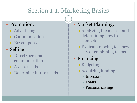#### • Promotion:

- Advertising
- o Communication
- Ex: coupons

### • Selling:

- Direct/personal communication
- Assess needs
- Determine future needs

### • Market Planning:

- Analyzing the market and determining how to compete
- Ex: team moving to a new city or combining teams

### • Financing:

- Budgeting
- Acquiring funding
	- $\blacktriangleright$  Investors
	- $\times$  Loans
	- $\times$  Personal savings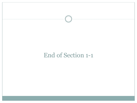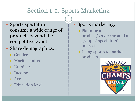- Sports spectators consume a wide-range of products beyond the competitive event
- Share demographics:
	- Gender
	- Marital status
	- Ethnicity
	- Income
	- Age
	- Education level

### Sports marketing:

- Planning a product/service around a group of spectators' interests
- Using sports to market products

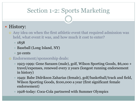### • History:

- Any idea on when the first athletic event that required admission was held, what event it was, and how much it cost to enter?
	- $\times 1858$
	- $\times$  Baseball (Long Island, NY)
	- $\times$  50 cents

#### Endorsement/sponsorship deals:

- 1923-1999: Gene Sarazen (male), golf, Wilson Sporting Goods, \$6,ooo + travel/expenses, renewed every 2 years (longest running endorsement in history)
- 1949: Babe Didrikson Zaharias (female), golf/basketball/track and field, Wilson Sporting Goods, \$100,000 a year (first significant female endorsement)
- 1928-today: Coca-Cola partnered with Summer Olympics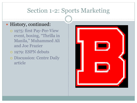#### History, continued:

- 1975: first Pay-Per-View event, boxing, "Thrilla in Manila," Muhammed Ali and Joe Frazier
- 1979: ESPN debuts
- o Discussion: Centre Daily article

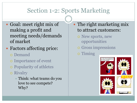- Goal: meet right mix of making a profit and meeting needs/demands of market
- Factors affecting price:
	- Demand
	- Importance of event
	- Popularity of athletes
	- Rivalry
		- $\times$  Think: what teams do you love to see compete? Why?
- The right marketing mix to attract customers:
	- o New sports, new opportunities
	- Gross impressions
	- o Timing

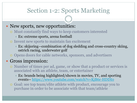#### • New sports, new opportunities:

- Must constantly find ways to keep customers interested
	- $\times$  Ex: extreme sports, arena football
- Invent new sports to maintain fan excitement
	- $\times$  Ex: skijoring—combination of dog sledding and cross-country skiing, ostrich racing, underwater golf
- Opens doors for cable networks, sponsors, and advertisers

#### Gross impression:

- Number of times per ad, game, or show that a product or services is associated with an athlete, team, or entertainer
	- $\times$  Ex: brands being highlighted/shown in movies, TV, and sporting events-- <https://www.youtube.com/watch?v=KjB6r-HDDI0>

 Goal: see top team/elite athlete with product, encourage you to purchase in order to be associate with that team/athlete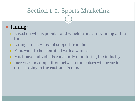### • Timing:

- Based on who is popular and which teams are winning at the time
- $\circ$  Losing streak = loss of support from fans
- Fans want to be identified with a winner
- Must have individuals constantly monitoring the industry
- Increases in competition between franchises will occur in order to stay in the customer's mind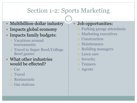- Multibillion-dollar industry
- Impacts global economy
- Impacts family budgets:
	- Vacations around tournaments
	- Travel to Super Bowl/College Bowl games
- What other industries would be effected?
	- Car
	- o Travel
	- Restaurants
	- Gas stations

### • Job opportunities:

- Parking garage attendants
- Marketing executives
- Construction
- Maintenance
- Building managers
- Lawn care
- Security
- Trainers
- Agents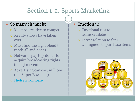#### • So many channels:

- Must be creative to compete
- o Reality shows have taken over
- Must find the right blend to reach all audiences
- o Networks pay top-dollar to acquire broadcasting rights to major events
- Advertising can cost millions (i.e. Super Bowl ads)
- o [Nielsen Company](http://www.nielsen.com/us/en/top10s.html)

#### Emotional:

- Emotional ties to teams/athletes
- Direct relation to fans willingness to purchase items

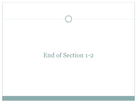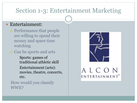#### Entertainment:

- Performance that people are willing to spend their money and spare time watching
- Can be sports and arts
	- Sports: games of traditional athletic skill Entertainment (arts): movies, theatre, concerts, etc.

#### How would you classify WWE?

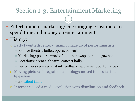- Entertainment marketing: encouraging consumers to spend time and money on entertainment
- History:
	- Early twentieth century: mainly made up of performing arts
		- $\times$  Ex: live theatre, ballet, opera, concerts
		- $\times$  Marketing: posters, word of mouth, newspapers, magazines
		- Locations: arenas, theatre, concert halls
		- Performers received instant feedback: applause, boo, tomatoes
	- Moving pictures integrated technology; moved to movies then television
		- $\times$  Ex: <u>silent films</u>
	- Internet caused a media explosion with distribution and feedback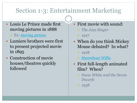Louis Le Prince made first moving pictures in 1888

o Ex: [moving picture](https://www.youtube.com/watch?v=yJLr0cTzRYk)

- Lumiere brothers were first to present projected movie in 1895
- Construction of movie houses/theatres quickly followed
- First movie with sound:
	- *The Jazz Singer*
	- 0 1927
- When do you think Mickey Mouse debuted? In what?
	- 0 1928
	- *[Steamboat Willie](https://www.youtube.com/watch?v=7NQyzcDnMdE)*
- First full-length animated film? When?
	- *Snow White and the Seven Dwarfs*
	- $0.1938$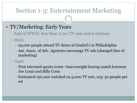### • TV/Marketing: Early Years

- End of WWII: less than 7,ooo TV sets and 9 stations
- 1945:
	- 25,000 people attend TV demo at Gimbel's in Philadelphia
	- Am. Assoc. of Adv. Agencies encourage TV ads (changed face of marketing)
- 1946:
	- $\overline{\phantom{a}}$  First televised sports event—heavyweight boxing match between Joe Louis and Billy Conn
	- Estimated 150,000 watched on 5,000 TV sets, avg: 30 people per set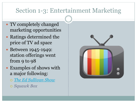- TV completely changed marketing opportunities
- Ratings determined the price of TV ad space
- Between 1945-1949: station offerings went from 9 to 98
- Examples of shows with a major following:
	- *[The Ed Sullivan Show](https://www.youtube.com/watch?v=COFHGFZxtnY)*
	- *Squawk Box*

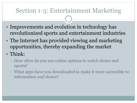- Improvements and evolution in technology has revolutionized sports and entertainment industries
- The Internet has provided viewing and marketing opportunities, thereby expanding the market
- Think:
	- How often do you use online options to watch shows and sports?
	- What apps have you downloaded to make it more accessible to information and shows?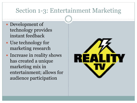- Development of technology provides instant feedback
- Use technology for marketing research
- Increase in reality shows has created a unique marketing mix in entertainment; allows for audience participation